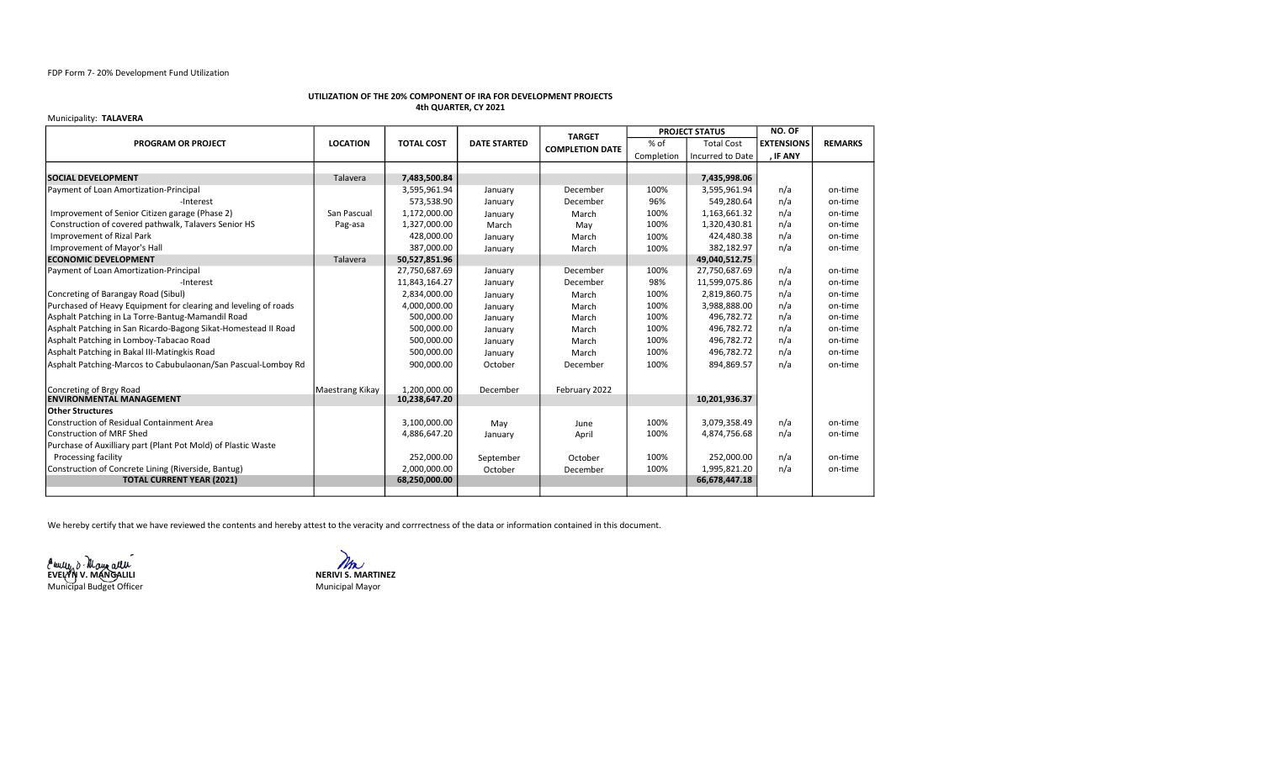# FDP Form 7- 20% Development Fund Utilization

# UTILIZATION OF THE 20% COMPONENT OF IRA FOR DEVELOPMENT PROJECTS 4th QUARTER, CY 2021

### Municipality: TALAVERA

|                                                                 |                 |                               |                     | <b>TARGET</b>          | <b>PROJECT STATUS</b> |                   | NO. OF            |                |
|-----------------------------------------------------------------|-----------------|-------------------------------|---------------------|------------------------|-----------------------|-------------------|-------------------|----------------|
| <b>PROGRAM OR PROJECT</b>                                       | <b>LOCATION</b> | <b>TOTAL COST</b>             | <b>DATE STARTED</b> | <b>COMPLETION DATE</b> | $%$ of                | <b>Total Cost</b> | <b>EXTENSIONS</b> | <b>REMARKS</b> |
|                                                                 |                 |                               |                     |                        | Completion            | Incurred to Date  | , IF ANY          |                |
|                                                                 |                 |                               |                     |                        |                       |                   |                   |                |
| <b>SOCIAL DEVELOPMENT</b>                                       | Talavera        | 7,483,500.84                  |                     |                        |                       | 7,435,998.06      |                   |                |
| Payment of Loan Amortization-Principal                          |                 | 3,595,961.94                  | January             | December               | 100%                  | 3,595,961.94      | n/a               | on-time        |
| -Interest                                                       |                 | 573,538.90                    | January             | December               | 96%                   | 549,280.64        | n/a               | on-time        |
| Improvement of Senior Citizen garage (Phase 2)                  | San Pascual     | 1,172,000.00                  | January             | March                  | 100%                  | 1,163,661.32      | n/a               | on-time        |
| Construction of covered pathwalk, Talavers Senior HS            | Pag-asa         | 1,327,000.00                  | March               | May                    | 100%                  | 1,320,430.81      | n/a               | on-time        |
| Improvement of Rizal Park                                       |                 | 428,000.00                    | January             | March                  | 100%                  | 424,480.38        | n/a               | on-time        |
| Improvement of Mayor's Hall                                     |                 | 387,000.00                    | January             | March                  | 100%                  | 382,182.97        | n/a               | on-time        |
| <b>ECONOMIC DEVELOPMENT</b>                                     | Talavera        | 50,527,851.96                 |                     |                        |                       | 49,040,512.75     |                   |                |
| Payment of Loan Amortization-Principal                          |                 | 27,750,687.69                 | January             | December               | 100%                  | 27,750,687.69     | n/a               | on-time        |
| -Interest                                                       |                 | 11,843,164.27                 | January             | December               | 98%                   | 11,599,075.86     | n/a               | on-time        |
| Concreting of Barangay Road (Sibul)                             |                 | 2,834,000.00                  | January             | March                  | 100%                  | 2,819,860.75      | n/a               | on-time        |
| Purchased of Heavy Equipment for clearing and leveling of roads |                 | 4,000,000.00                  | January             | March                  | 100%                  | 3,988,888.00      | n/a               | on-time        |
| Asphalt Patching in La Torre-Bantug-Mamandil Road               |                 | 500.000.00                    | January             | March                  | 100%                  | 496.782.72        | n/a               | on-time        |
| Asphalt Patching in San Ricardo-Bagong Sikat-Homestead II Road  |                 | 500,000.00                    | January             | March                  | 100%                  | 496,782.72        | n/a               | on-time        |
| Asphalt Patching in Lomboy-Tabacao Road                         |                 | 500,000.00                    | January             | March                  | 100%                  | 496,782.72        | n/a               | on-time        |
| Asphalt Patching in Bakal III-Matingkis Road                    |                 | 500,000.00                    | January             | March                  | 100%                  | 496,782.72        | n/a               | on-time        |
| Asphalt Patching-Marcos to Cabubulaonan/San Pascual-Lomboy Rd   |                 | 900,000.00                    | October             | December               | 100%                  | 894,869.57        | n/a               | on-time        |
|                                                                 |                 |                               |                     |                        |                       |                   |                   |                |
| Concreting of Brgy Road<br><b>ENVIRONMENTAL MANAGEMENT</b>      | Maestrang Kikay | 1.200.000.00<br>10,238,647.20 | December            | February 2022          |                       | 10,201,936.37     |                   |                |
| <b>Other Structures</b>                                         |                 |                               |                     |                        |                       |                   |                   |                |
| l Construction of Residual Containment Area                     |                 | 3,100,000.00                  | May                 | June                   | 100%                  | 3,079,358.49      | n/a               | on-time        |
| Construction of MRF Shed                                        |                 | 4,886,647.20                  | January             | April                  | 100%                  | 4,874,756.68      | n/a               | on-time        |
| Purchase of Auxilliary part (Plant Pot Mold) of Plastic Waste   |                 |                               |                     |                        |                       |                   |                   |                |
| <b>Processing facility</b>                                      |                 | 252,000.00                    | September           | October                | 100%                  | 252,000.00        | n/a               | on-time        |
| Construction of Concrete Lining (Riverside, Bantug)             |                 | 2,000,000.00                  | October             | December               | 100%                  | 1,995,821.20      | n/a               | on-time        |
| <b>TOTAL CURRENT YEAR (2021)</b>                                |                 | 68,250,000.00                 |                     |                        |                       | 66,678,447.18     |                   |                |
|                                                                 |                 |                               |                     |                        |                       |                   |                   |                |

We hereby certify that we have reviewed the contents and hereby attest to the veracity and corrrectness of the data or information contained in this document.

EVELÝŇ V. MÁNGALILI NERIVI S. MARTINEZ Municipal Budget Officer

Municipal Mayor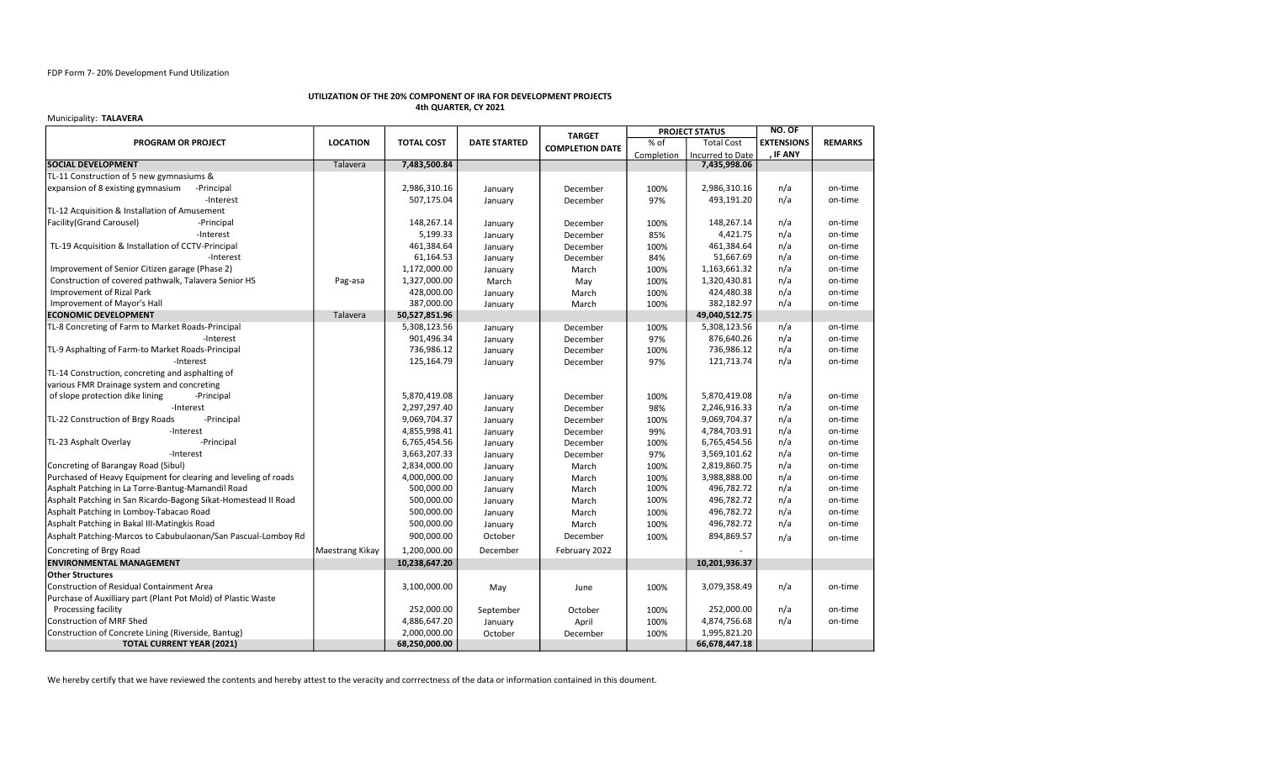## FDP Form 7- 20% Development Fund Utilization

# UTILIZATION OF THE 20% COMPONENT OF IRA FOR DEVELOPMENT PROJECTS 4th QUARTER, CY 2021

#### Municipality: TALAVERA

|                                                                 |                 |                   |                     | <b>TARGET</b>          | <b>PROJECT STATUS</b> |                         | NO. OF            |                |
|-----------------------------------------------------------------|-----------------|-------------------|---------------------|------------------------|-----------------------|-------------------------|-------------------|----------------|
| <b>PROGRAM OR PROJECT</b>                                       | <b>LOCATION</b> | <b>TOTAL COST</b> | <b>DATE STARTED</b> | <b>COMPLETION DATE</b> | % of                  | <b>Total Cost</b>       | <b>EXTENSIONS</b> | <b>REMARKS</b> |
|                                                                 |                 |                   |                     |                        | Completion            | <b>Incurred to Date</b> | <b>IF ANY</b>     |                |
| <b>SOCIAL DEVELOPMENT</b>                                       | Talavera        | 7,483,500.84      |                     |                        |                       | 7,435,998.06            |                   |                |
| TL-11 Construction of 5 new gymnasiums &                        |                 |                   |                     |                        |                       |                         |                   |                |
| expansion of 8 existing gymnasium<br>-Principal                 |                 | 2,986,310.16      | January             | December               | 100%                  | 2,986,310.16            | n/a               | on-time        |
| -Interest                                                       |                 | 507,175.04        | January             | December               | 97%                   | 493,191.20              | n/a               | on-time        |
| TL-12 Acquisition & Installation of Amusement                   |                 |                   |                     |                        |                       |                         |                   |                |
| Facility(Grand Carousel)<br>-Principal                          |                 | 148,267.14        | January             | December               | 100%                  | 148,267.14              | n/a               | on-time        |
| -Interest                                                       |                 | 5,199.33          | January             | December               | 85%                   | 4,421.75                | n/a               | on-time        |
| TL-19 Acquisition & Installation of CCTV-Principal              |                 | 461,384.64        | January             | December               | 100%                  | 461,384.64              | n/a               | on-time        |
| -Interest                                                       |                 | 61,164.53         | January             | December               | 84%                   | 51,667.69               | n/a               | on-time        |
| Improvement of Senior Citizen garage (Phase 2)                  |                 | 1,172,000.00      | January             | March                  | 100%                  | 1,163,661.32            | n/a               | on-time        |
| Construction of covered pathwalk, Talavera Senior HS            | Pag-asa         | 1,327,000.00      | March               | May                    | 100%                  | 1,320,430.81            | n/a               | on-time        |
| Improvement of Rizal Park                                       |                 | 428,000.00        | January             | March                  | 100%                  | 424,480.38              | n/a               | on-time        |
| Improvement of Mayor's Hall                                     |                 | 387,000.00        | January             | March                  | 100%                  | 382,182.97              | n/a               | on-time        |
| <b>ECONOMIC DEVELOPMENT</b>                                     | Talavera        | 50,527,851.96     |                     |                        |                       | 49,040,512.75           |                   |                |
| TL-8 Concreting of Farm to Market Roads-Principal               |                 | 5,308,123.56      | January             | December               | 100%                  | 5,308,123.56            | n/a               | on-time        |
| -Interest                                                       |                 | 901,496.34        | January             | December               | 97%                   | 876,640.26              | n/a               | on-time        |
| TL-9 Asphalting of Farm-to Market Roads-Principal               |                 | 736,986.12        | January             | December               | 100%                  | 736,986.12              | n/a               | on-time        |
| -Interest                                                       |                 | 125,164.79        | January             | December               | 97%                   | 121,713.74              | n/a               | on-time        |
| TL-14 Construction, concreting and asphalting of                |                 |                   |                     |                        |                       |                         |                   |                |
| various FMR Drainage system and concreting                      |                 |                   |                     |                        |                       |                         |                   |                |
| of slope protection dike lining<br>-Principal                   |                 | 5,870,419.08      | January             | December               | 100%                  | 5,870,419.08            | n/a               | on-time        |
| -Interest                                                       |                 | 2,297,297.40      | January             | December               | 98%                   | 2,246,916.33            | n/a               | on-time        |
| TL-22 Construction of Brgy Roads<br>-Principal                  |                 | 9,069,704.37      | January             | December               | 100%                  | 9,069,704.37            | n/a               | on-time        |
| -Interest                                                       |                 | 4,855,998.41      | January             | December               | 99%                   | 4,784,703.91            | n/a               | on-time        |
| TL-23 Asphalt Overlay<br>-Principal                             |                 | 6,765,454.56      | January             | December               | 100%                  | 6,765,454.56            | n/a               | on-time        |
| -Interest                                                       |                 | 3,663,207.33      | January             | December               | 97%                   | 3,569,101.62            | n/a               | on-time        |
| Concreting of Barangay Road (Sibul)                             |                 | 2,834,000.00      | January             | March                  | 100%                  | 2,819,860.75            | n/a               | on-time        |
| Purchased of Heavy Equipment for clearing and leveling of roads |                 | 4,000,000.00      | January             | March                  | 100%                  | 3,988,888.00            | n/a               | on-time        |
| Asphalt Patching in La Torre-Bantug-Mamandil Road               |                 | 500,000.00        | January             | March                  | 100%                  | 496,782.72              | n/a               | on-time        |
| Asphalt Patching in San Ricardo-Bagong Sikat-Homestead II Road  |                 | 500,000.00        | January             | March                  | 100%                  | 496,782.72              | n/a               | on-time        |
| Asphalt Patching in Lomboy-Tabacao Road                         |                 | 500,000.00        | January             | March                  | 100%                  | 496,782.72              | n/a               | on-time        |
| Asphalt Patching in Bakal III-Matingkis Road                    |                 | 500,000.00        | January             | March                  | 100%                  | 496,782.72              | n/a               | on-time        |
| Asphalt Patching-Marcos to Cabubulaonan/San Pascual-Lomboy Rd   |                 | 900,000.00        | October             | December               | 100%                  | 894,869.57              | n/a               | on-time        |
| Concreting of Brgy Road                                         | Maestrang Kikay | 1,200,000.00      | December            | February 2022          |                       |                         |                   |                |
| <b>ENVIRONMENTAL MANAGEMENT</b>                                 |                 | 10,238,647.20     |                     |                        |                       | 10,201,936.37           |                   |                |
| <b>Other Structures</b>                                         |                 |                   |                     |                        |                       |                         |                   |                |
| Construction of Residual Containment Area                       |                 | 3,100,000.00      | May                 | June                   | 100%                  | 3,079,358.49            | n/a               | on-time        |
| Purchase of Auxilliary part (Plant Pot Mold) of Plastic Waste   |                 |                   |                     |                        |                       |                         |                   |                |
| Processing facility                                             |                 | 252,000.00        | September           | October                | 100%                  | 252,000.00              | n/a               | on-time        |
| <b>Construction of MRF Shed</b>                                 |                 | 4,886,647.20      | January             | April                  | 100%                  | 4,874,756.68            | n/a               | on-time        |
| Construction of Concrete Lining (Riverside, Bantug)             |                 | 2,000,000.00      | October             | December               | 100%                  | 1,995,821.20            |                   |                |
| <b>TOTAL CURRENT YEAR (2021)</b>                                |                 | 68,250,000.00     |                     |                        |                       | 66,678,447.18           |                   |                |

We hereby certify that we have reviewed the contents and hereby attest to the veracity and corrrectness of the data or information contained in this doument.